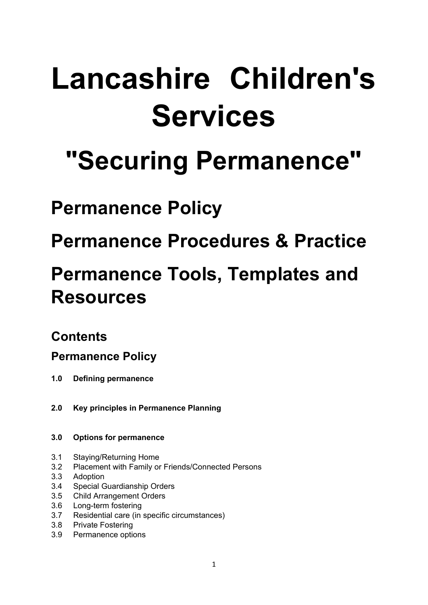# **Lancashire Children's Services**

# **"Securing Permanence"**

# **Permanence Policy**

# **Permanence Procedures & Practice**

# **Permanence Tools, Templates and Resources**

## **Contents**

## **Permanence Policy**

- **1.0 Defining permanence**
- **2.0 Key principles in Permanence Planning**

#### **3.0 Options for permanence**

- 3.1 Staying/Returning Home
- 3.2 Placement with Family or Friends/Connected Persons
- 3.3 Adoption
- 3.4 Special Guardianship Orders
- 3.5 Child Arrangement Orders
- 3.6 Long-term fostering
- 3.7 Residential care (in specific circumstances)
- 3.8 Private Fostering
- 3.9 Permanence options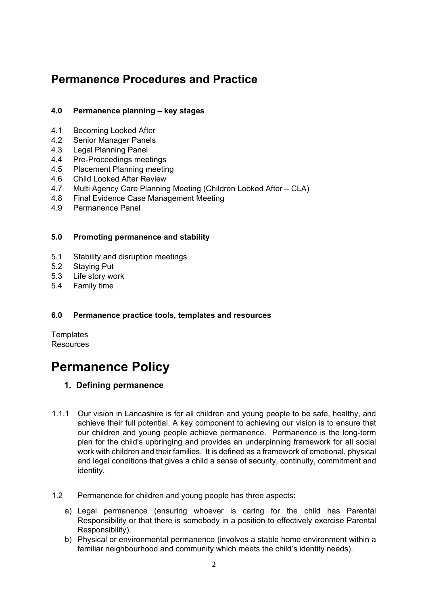### **Permanence Procedures and Practice**

#### **4.0 Permanence planning – key stages**

- 4.1 Becoming Looked After
- 4.2 Senior Manager Panels
- 4.3 Legal Planning Panel
- 4.4 Pre-Proceedings meetings<br>4.5 Placement Planning meetir
- Placement Planning meeting
- 4.6 Child Looked After Review
- 4.7 Multi Agency Care Planning Meeting (Children Looked After CLA)
- 4.8 Final Evidence Case Management Meeting
- 4.9 Permanence Panel

#### **5.0 Promoting permanence and stability**

- 5.1 Stability and disruption meetings
- 5.2 Staying Put
- 5.3 Life story work
- 5.4 Family time

#### **6.0 Permanence practice tools, templates and resources**

**Templates Resources** 

## **Permanence Policy**

#### **1. Defining permanence**

- 1.1.1 Our vision in Lancashire is for all children and young people to be safe, healthy, and achieve their full potential. A key component to achieving our vision is to ensure that our children and young people achieve permanence. Permanence is the long-term plan for the child's upbringing and provides an underpinning framework for all social work with children and their families. It is defined as a framework of emotional, physical and legal conditions that gives a child a sense of security, continuity, commitment and identity.
- 1.2 Permanence for children and young people has three aspects:
	- a) Legal permanence (ensuring whoever is caring for the child has Parental Responsibility or that there is somebody in a position to effectively exercise Parental Responsibility).
	- b) Physical or environmental permanence (involves a stable home environment within a familiar neighbourhood and community which meets the child's identity needs).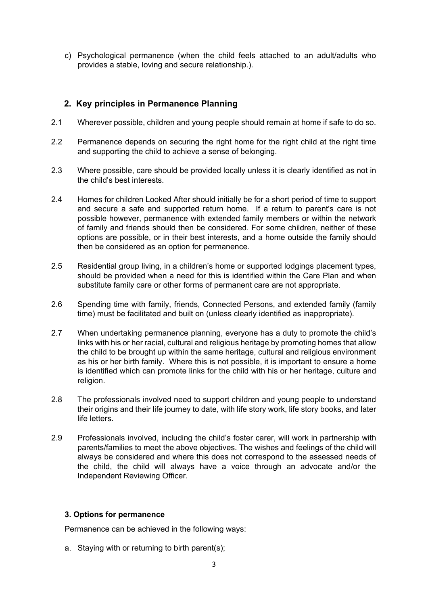c) Psychological permanence (when the child feels attached to an adult/adults who provides a stable, loving and secure relationship.).

#### **2. Key principles in Permanence Planning**

- 2.1 Wherever possible, children and young people should remain at home if safe to do so.
- 2.2 Permanence depends on securing the right home for the right child at the right time and supporting the child to achieve a sense of belonging.
- 2.3 Where possible, care should be provided locally unless it is clearly identified as not in the child's best interests.
- 2.4 Homes for children Looked After should initially be for a short period of time to support and secure a safe and supported return home. If a return to parent's care is not possible however, permanence with extended family members or within the network of family and friends should then be considered. For some children, neither of these options are possible, or in their best interests, and a home outside the family should then be considered as an option for permanence.
- 2.5 Residential group living, in a children's home or supported lodgings placement types, should be provided when a need for this is identified within the Care Plan and when substitute family care or other forms of permanent care are not appropriate.
- 2.6 Spending time with family, friends, Connected Persons, and extended family (family time) must be facilitated and built on (unless clearly identified as inappropriate).
- 2.7 When undertaking permanence planning, everyone has a duty to promote the child's links with his or her racial, cultural and religious heritage by promoting homes that allow the child to be brought up within the same heritage, cultural and religious environment as his or her birth family. Where this is not possible, it is important to ensure a home is identified which can promote links for the child with his or her heritage, culture and religion.
- 2.8 The professionals involved need to support children and young people to understand their origins and their life journey to date, with life story work, life story books, and later life letters.
- 2.9 Professionals involved, including the child's foster carer, will work in partnership with parents/families to meet the above objectives. The wishes and feelings of the child will always be considered and where this does not correspond to the assessed needs of the child, the child will always have a voice through an advocate and/or the Independent Reviewing Officer.

#### **3. Options for permanence**

Permanence can be achieved in the following ways:

a. Staying with or returning to birth parent(s);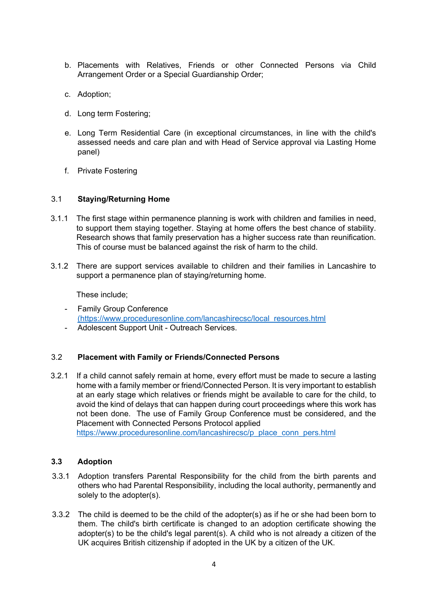- b. Placements with Relatives, Friends or other Connected Persons via Child Arrangement Order or a Special Guardianship Order;
- c. Adoption;
- d. Long term Fostering;
- e. Long Term Residential Care (in exceptional circumstances, in line with the child's assessed needs and care plan and with Head of Service approval via Lasting Home panel)
- f. Private Fostering

#### 3.1 **Staying/Returning Home**

- 3.1.1 The first stage within permanence planning is work with children and families in need, to support them staying together. Staying at home offers the best chance of stability. Research shows that family preservation has a higher success rate than reunification. This of course must be balanced against the risk of harm to the child.
- 3.1.2 There are support services available to children and their families in Lancashire to support a permanence plan of staying/returning home.

These include;

- Family Group Conference [\(https://www.proceduresonline.com/lancashirecsc/local\\_resources.html](https://www.proceduresonline.com/lancashirecsc/local_resources.html)
- Adolescent Support Unit Outreach Services.

#### 3.2 **Placement with Family or Friends/Connected Persons**

3.2.1 If a child cannot safely remain at home, every effort must be made to secure a lasting home with a family member or friend/Connected Person. It is very important to establish at an early stage which relatives or friends might be available to care for the child, to avoid the kind of delays that can happen during court proceedings where this work has not been done. The use of Family Group Conference must be considered, and the Placement with Connected Persons Protocol applied [https://www.proceduresonline.com/lancashirecsc/p\\_place\\_conn\\_pers.html](https://www.proceduresonline.com/lancashirecsc/p_place_conn_pers.html)

#### **3.3 Adoption**

- 3.3.1 Adoption transfers Parental Responsibility for the child from the birth parents and others who had Parental Responsibility, including the local authority, permanently and solely to the adopter(s).
- 3.3.2 The child is deemed to be the child of the adopter(s) as if he or she had been born to them. The child's birth certificate is changed to an adoption certificate showing the adopter(s) to be the child's legal parent(s). A child who is not already a citizen of the UK acquires British citizenship if adopted in the UK by a citizen of the UK.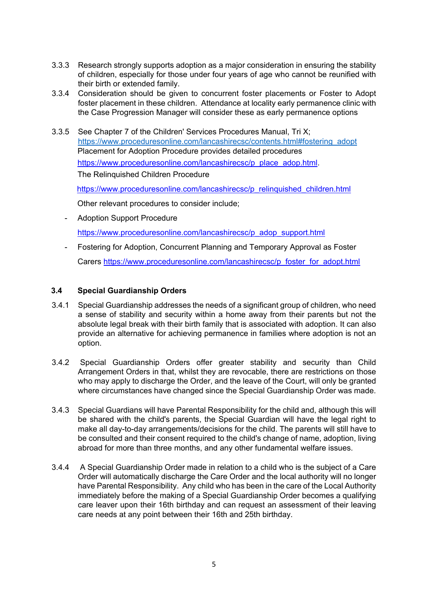- 3.3.3 Research strongly supports adoption as a major consideration in ensuring the stability of children, especially for those under four years of age who cannot be reunified with their birth or extended family.
- 3.3.4 Consideration should be given to concurrent foster placements or Foster to Adopt foster placement in these children. Attendance at locality early permanence clinic with the Case Progression Manager will consider these as early permanence options
- 3.3.5 See Chapter 7 of the Children' Services Procedures Manual, Tri X; https://www.proceduresonline.com/lancashirecsc/contents.html#fostering\_adopt Placement for Adoption Procedu[re](https://www.proceduresonline.com/lancashirecsc/p_place_adop.html) provides detailed procedures https://www.proceduresonline.com/lancashirecsc/p\_place\_adop.html The [Relinquished Children Procedure](https://www.proceduresonline.com/lancashirecsc/p_relinquished_children.html)

[https://www.proceduresonline.com/lancashirecsc/p\\_relinquished\\_children.html](https://www.proceduresonline.com/lancashirecsc/p_relinquished_children.html)

Other relevant procedures to consider include;

- Adoption Support Procedure [https://www.proceduresonline.com/lancashirecsc/p\\_adop\\_support.html](https://www.proceduresonline.com/lancashirecsc/p_adop_support.html)
- Fostering for Adoption, Concurrent Planning and Temporary Approval as Foster Carers https://www.proceduresonline.com/lancashirecsc/p\_foster\_for\_adopt.html

#### **3.4 Special Guardianship Orders**

- 3.4.1 Special Guardianship addresses the needs of a significant group of children, who need a sense of stability and security within a home away from their parents but not the absolute legal break with their birth family that is associated with adoption. It can also provide an alternative for achieving permanence in families where adoption is not an option.
- 3.4.2 Special Guardianship Orders offer greater stability and security than Child Arrangement Orders in that, whilst they are revocable, there are restrictions on those who may apply to discharge the Order, and the leave of the Court, will only be granted where circumstances have changed since the Special Guardianship Order was made.
- 3.4.3 Special Guardians will have Parental Responsibility for the child and, although this will be shared with the child's parents, the Special Guardian will have the legal right to make all day-to-day arrangements/decisions for the child. The parents will still have to be consulted and their consent required to the child's change of name, adoption, living abroad for more than three months, and any other fundamental welfare issues.
- 3.4.4 A Special Guardianship Order made in relation to a child who is the subject of a Care Order will automatically discharge the Care Order and the local authority will no longer have Parental Responsibility. Any child who has been in the care of the Local Authority immediately before the making of a Special Guardianship Order becomes a qualifying care leaver upon their 16th birthday and can request an assessment of their leaving care needs at any point between their 16th and 25th birthday.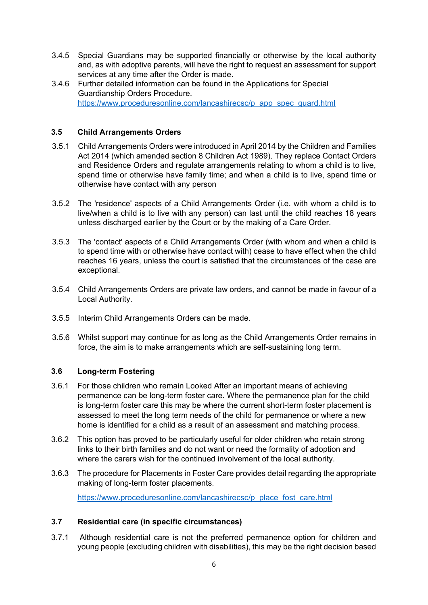- 3.4.5 Special Guardians may be supported financially or otherwise by the local authority and, as with adoptive parents, will have the right to request an assessment for support services at any time after the Order is made.
- 3.4.6 Further detailed information can be found in the Applications for Special Guardianship Orders Procedure. [https://www.proceduresonline.com/lancashirecsc/p\\_app\\_spec\\_guard.html](https://www.proceduresonline.com/lancashirecsc/p_app_spec_guard.html)

#### **3.5 Child Arrangements Orders**

- 3.5.1 Child Arrangements Orders were introduced in April 2014 by the Children and Families Act 2014 (which amended section 8 Children Act 1989). They replace Contact Orders and Residence Orders and regulate arrangements relating to whom a child is to live, spend time or otherwise have family time; and when a child is to live, spend time or otherwise have contact with any person
- 3.5.2 The 'residence' aspects of a Child Arrangements Order (i.e. with whom a child is to live/when a child is to live with any person) can last until the child reaches 18 years unless discharged earlier by the Court or by the making of a Care Order.
- 3.5.3 The 'contact' aspects of a Child Arrangements Order (with whom and when a child is to spend time with or otherwise have contact with) cease to have effect when the child reaches 16 years, unless the court is satisfied that the circumstances of the case are exceptional.
- 3.5.4 Child Arrangements Orders are private law orders, and cannot be made in favour of a Local Authority.
- 3.5.5 Interim Child Arrangements Orders can be made.
- 3.5.6 Whilst support may continue for as long as the Child Arrangements Order remains in force, the aim is to make arrangements which are self-sustaining long term.

#### **3.6 Long-term Fostering**

- 3.6.1 For those children who remain Looked After an important means of achieving permanence can be long-term foster care. Where the permanence plan for the child is long-term foster care this may be where the current short-term foster placement is assessed to meet the long term needs of the child for permanence or where a new home is identified for a child as a result of an assessment and matching process.
- 3.6.2 This option has proved to be particularly useful for older children who retain strong links to their birth families and do not want or need the formality of adoption and where the carers wish for the continued involvement of the local authority.
- 3.6.3 The procedure fo[r Placements in Foster Care p](https://www.proceduresonline.com/lancashirecsc/p_place_fost_care.html)rovides detail regarding the appropriate making of long-term foster placements.

https://www.proceduresonline.com/lancashirecsc/p\_place\_fost\_care.html

#### **3.7 Residential care (in specific circumstances)**

3.7.1 Although residential care is not the preferred permanence option for children and young people (excluding children with disabilities), this may be the right decision based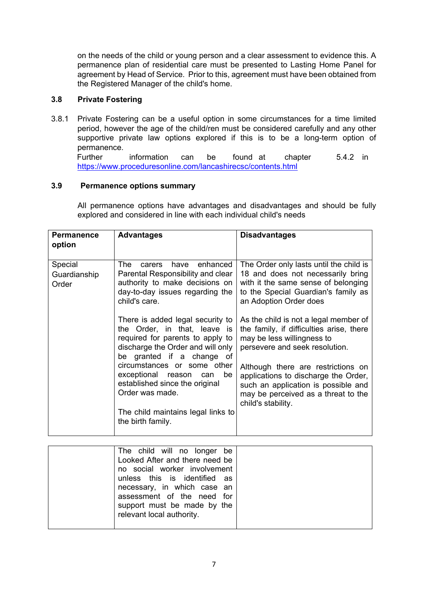on the needs of the child or young person and a clear assessment to evidence this. A permanence plan of residential care must be presented to Lasting Home Panel for agreement by Head of Service. Prior to this, agreement must have been obtained from the Registered Manager of the child's home.

#### **3.8 Private Fostering**

3.8.1 Private Fostering can be a useful option in some circumstances for a time limited period, however the age of the child/ren must be considered carefully and any other supportive private law options explored if this is to be a long-term option of permanence.

Further information can be found at chapter 5.4.2 in <https://www.proceduresonline.com/lancashirecsc/contents.html>

#### **3.9 Permanence options summary**

All permanence options have advantages and disadvantages and should be fully explored and considered in line with each individual child's needs

| <b>Permanence</b><br>option      | <b>Advantages</b>                                                                                                                                                                                     | <b>Disadvantages</b>                                                                                                                                                                    |
|----------------------------------|-------------------------------------------------------------------------------------------------------------------------------------------------------------------------------------------------------|-----------------------------------------------------------------------------------------------------------------------------------------------------------------------------------------|
| Special<br>Guardianship<br>Order | enhanced<br>The<br>have<br>carers<br>Parental Responsibility and clear<br>authority to make decisions on<br>day-to-day issues regarding the<br>child's care.                                          | The Order only lasts until the child is<br>18 and does not necessarily bring<br>with it the same sense of belonging<br>to the Special Guardian's family as<br>an Adoption Order does    |
|                                  | There is added legal security to<br>the Order, in that, leave is<br>required for parents to apply to<br>discharge the Order and will only<br>be granted if a change of<br>circumstances or some other | As the child is not a legal member of<br>the family, if difficulties arise, there<br>may be less willingness to<br>persevere and seek resolution.<br>Although there are restrictions on |
|                                  | exceptional reason<br>be<br>can<br>established since the original<br>Order was made.<br>The child maintains legal links to<br>the birth family.                                                       | applications to discharge the Order,<br>such an application is possible and<br>may be perceived as a threat to the<br>child's stability.                                                |

| The child will no longer be    |  |
|--------------------------------|--|
| Looked After and there need be |  |
| no social worker involvement   |  |
| unless this is identified as   |  |
| necessary, in which case an    |  |
| assessment of the need for     |  |
| support must be made by the    |  |
| relevant local authority.      |  |
|                                |  |
|                                |  |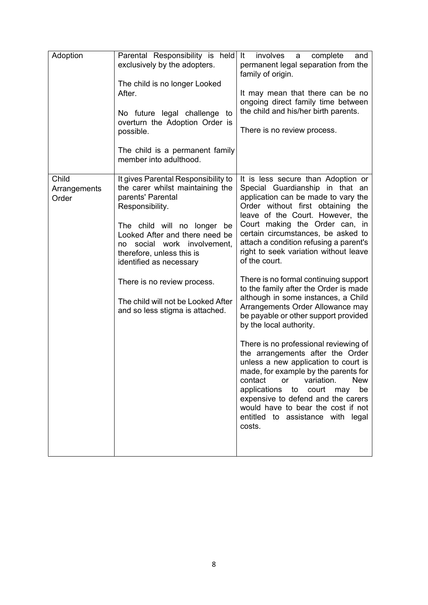| Adoption                       | Parental Responsibility is held It<br>exclusively by the adopters.<br>The child is no longer Looked<br>After.<br>No future legal challenge<br>to<br>overturn the Adoption Order is<br>possible.<br>The child is a permanent family<br>member into adulthood.                                                                                                                       | involves<br>complete<br>a<br>and<br>permanent legal separation from the<br>family of origin.<br>It may mean that there can be no<br>ongoing direct family time between<br>the child and his/her birth parents.<br>There is no review process.                                                                                                                                                                                                                                                                                                                                                                                                                                                                                                                                                                                                                                                                                                                                    |
|--------------------------------|------------------------------------------------------------------------------------------------------------------------------------------------------------------------------------------------------------------------------------------------------------------------------------------------------------------------------------------------------------------------------------|----------------------------------------------------------------------------------------------------------------------------------------------------------------------------------------------------------------------------------------------------------------------------------------------------------------------------------------------------------------------------------------------------------------------------------------------------------------------------------------------------------------------------------------------------------------------------------------------------------------------------------------------------------------------------------------------------------------------------------------------------------------------------------------------------------------------------------------------------------------------------------------------------------------------------------------------------------------------------------|
| Child<br>Arrangements<br>Order | It gives Parental Responsibility to<br>the carer whilst maintaining the<br>parents' Parental<br>Responsibility.<br>The child will no longer<br>be<br>Looked After and there need be<br>no social work involvement,<br>therefore, unless this is<br>identified as necessary<br>There is no review process.<br>The child will not be Looked After<br>and so less stigma is attached. | It is less secure than Adoption or<br>Special Guardianship in that an<br>application can be made to vary the<br>Order without first obtaining the<br>leave of the Court. However, the<br>Court making the Order can, in<br>certain circumstances, be asked to<br>attach a condition refusing a parent's<br>right to seek variation without leave<br>of the court.<br>There is no formal continuing support<br>to the family after the Order is made<br>although in some instances, a Child<br>Arrangements Order Allowance may<br>be payable or other support provided<br>by the local authority.<br>There is no professional reviewing of<br>the arrangements after the Order<br>unless a new application to court is<br>made, for example by the parents for<br>variation.<br><b>New</b><br>contact<br><b>or</b><br>applications to court may<br>be<br>expensive to defend and the carers<br>would have to bear the cost if not<br>entitled to assistance with legal<br>costs. |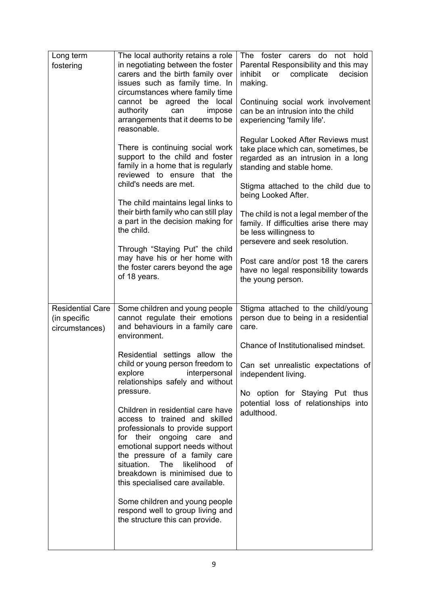| Long term<br>fostering                                    | The local authority retains a role<br>in negotiating between the foster<br>carers and the birth family over<br>issues such as family time. In<br>circumstances where family time<br>cannot be agreed the local<br>authority<br>can<br>impose<br>arrangements that it deems to be<br>reasonable.<br>There is continuing social work<br>support to the child and foster<br>family in a home that is regularly<br>reviewed to ensure that the<br>child's needs are met.<br>The child maintains legal links to<br>their birth family who can still play<br>a part in the decision making for<br>the child.<br>Through "Staying Put" the child<br>may have his or her home with<br>the foster carers beyond the age | The foster carers do<br>not hold<br>Parental Responsibility and this may<br>complicate<br>decision<br>inhibit<br>or<br>making.<br>Continuing social work involvement<br>can be an intrusion into the child<br>experiencing 'family life'.<br>Regular Looked After Reviews must<br>take place which can, sometimes, be<br>regarded as an intrusion in a long<br>standing and stable home.<br>Stigma attached to the child due to<br>being Looked After.<br>The child is not a legal member of the<br>family. If difficulties arise there may<br>be less willingness to<br>persevere and seek resolution.<br>Post care and/or post 18 the carers<br>have no legal responsibility towards |
|-----------------------------------------------------------|----------------------------------------------------------------------------------------------------------------------------------------------------------------------------------------------------------------------------------------------------------------------------------------------------------------------------------------------------------------------------------------------------------------------------------------------------------------------------------------------------------------------------------------------------------------------------------------------------------------------------------------------------------------------------------------------------------------|----------------------------------------------------------------------------------------------------------------------------------------------------------------------------------------------------------------------------------------------------------------------------------------------------------------------------------------------------------------------------------------------------------------------------------------------------------------------------------------------------------------------------------------------------------------------------------------------------------------------------------------------------------------------------------------|
|                                                           | of 18 years.                                                                                                                                                                                                                                                                                                                                                                                                                                                                                                                                                                                                                                                                                                   | the young person.                                                                                                                                                                                                                                                                                                                                                                                                                                                                                                                                                                                                                                                                      |
| <b>Residential Care</b><br>(in specific<br>circumstances) | Some children and young people<br>cannot regulate their emotions<br>and behaviours in a family care<br>environment.<br>Residential settings allow the<br>child or young person freedom to<br>explore interpersonal<br>relationships safely and without<br>pressure.<br>Children in residential care have<br>access to trained and skilled<br>professionals to provide support<br>for their ongoing care and<br>emotional support needs without<br>the pressure of a family care<br>situation. The<br>likelihood<br>of<br>breakdown is minimised due to<br>this specialised care available.<br>Some children and young people<br>respond well to group living and<br>the structure this can provide.            | Stigma attached to the child/young<br>person due to being in a residential<br>care.<br>Chance of Institutionalised mindset.<br>Can set unrealistic expectations of<br>independent living.<br>No option for Staying Put thus<br>potential loss of relationships into<br>adulthood.                                                                                                                                                                                                                                                                                                                                                                                                      |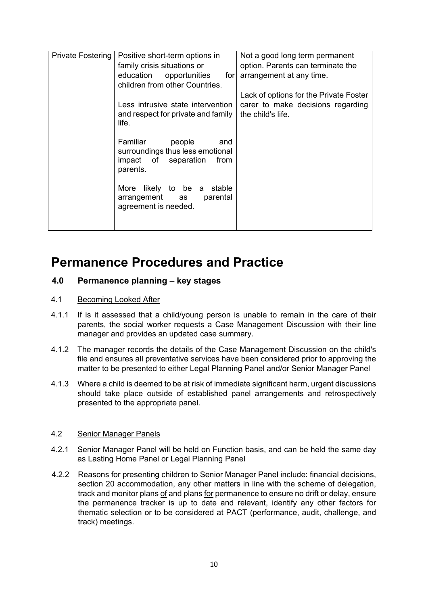| Private Fostering | Positive short-term options in<br>family crisis situations or<br>education opportunities<br>for<br>children from other Countries. | Not a good long term permanent<br>option. Parents can terminate the<br>arrangement at any time.  |
|-------------------|-----------------------------------------------------------------------------------------------------------------------------------|--------------------------------------------------------------------------------------------------|
|                   | Less intrusive state intervention<br>and respect for private and family<br>life.                                                  | Lack of options for the Private Foster<br>carer to make decisions regarding<br>the child's life. |
|                   | Familiar<br>people<br>and<br>surroundings thus less emotional<br>impact of separation<br>from<br>parents.                         |                                                                                                  |
|                   | More likely to be a stable<br>parental<br>arrangement<br>as<br>agreement is needed.                                               |                                                                                                  |

### **Permanence Procedures and Practice**

#### **4.0 Permanence planning – key stages**

#### 4.1 Becoming Looked After

- 4.1.1 If is it assessed that a child/young person is unable to remain in the care of their parents, the social worker requests a Case Management Discussion with their line manager and provides an updated case summary.
- 4.1.2 The manager records the details of the Case Management Discussion on the child's file and ensures all preventative services have been considered prior to approving the matter to be presented to either Legal Planning Panel and/or Senior Manager Panel
- 4.1.3 Where a child is deemed to be at risk of immediate significant harm, urgent discussions should take place outside of established panel arrangements and retrospectively presented to the appropriate panel.

#### 4.2 Senior Manager Panels

- 4.2.1 Senior Manager Panel will be held on Function basis, and can be held the same day as Lasting Home Panel or Legal Planning Panel
- 4.2.2 Reasons for presenting children to Senior Manager Panel include: financial decisions, section 20 accommodation, any other matters in line with the scheme of delegation, track and monitor plans of and plans for permanence to ensure no drift or delay, ensure the permanence tracker is up to date and relevant, identify any other factors for thematic selection or to be considered at PACT (performance, audit, challenge, and track) meetings.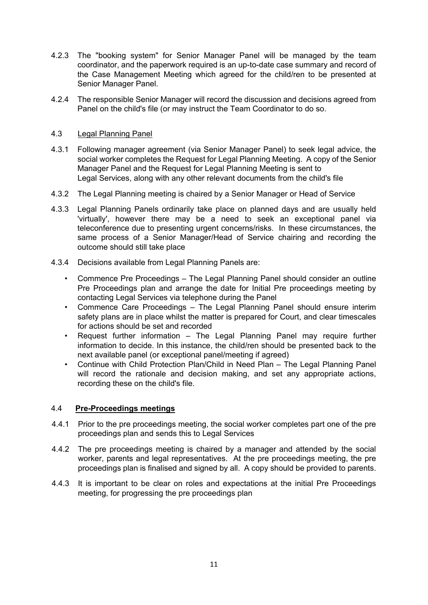- 4.2.3 The "booking system" for Senior Manager Panel will be managed by the team coordinator, and the paperwork required is an up-to-date case summary and record of the Case Management Meeting which agreed for the child/ren to be presented at Senior Manager Panel.
- 4.2.4 The responsible Senior Manager will record the discussion and decisions agreed from Panel on the child's file (or may instruct the Team Coordinator to do so.

#### 4.3 Legal Planning Panel

- 4.3.1 Following manager agreement (via Senior Manager Panel) to seek legal advice, the social worker completes the Request for Legal Planning Meeting. A copy of the Senior Manager Panel and the Request for Legal Planning Meeting is sent to Legal Services, along with any other relevant documents from the child's file
- 4.3.2 The Legal Planning meeting is chaired by a Senior Manager or Head of Service
- 4.3.3 Legal Planning Panels ordinarily take place on planned days and are usually held 'virtually', however there may be a need to seek an exceptional panel via teleconference due to presenting urgent concerns/risks. In these circumstances, the same process of a Senior Manager/Head of Service chairing and recording the outcome should still take place
- 4.3.4 Decisions available from Legal Planning Panels are:
	- Commence Pre Proceedings The Legal Planning Panel should consider an outline Pre Proceedings plan and arrange the date for Initial Pre proceedings meeting by contacting Legal Services via telephone during the Panel
	- Commence Care Proceedings The Legal Planning Panel should ensure interim safety plans are in place whilst the matter is prepared for Court, and clear timescales for actions should be set and recorded
	- Request further information The Legal Planning Panel may require further information to decide. In this instance, the child/ren should be presented back to the next available panel (or exceptional panel/meeting if agreed)
	- Continue with Child Protection Plan/Child in Need Plan The Legal Planning Panel will record the rationale and decision making, and set any appropriate actions, recording these on the child's file.

#### 4.4 **Pre-Proceedings meetings**

- 4.4.1 Prior to the pre proceedings meeting, the social worker completes part one of the pre proceedings plan and sends this to Legal Services
- 4.4.2 The pre proceedings meeting is chaired by a manager and attended by the social worker, parents and legal representatives. At the pre proceedings meeting, the pre proceedings plan is finalised and signed by all. A copy should be provided to parents.
- 4.4.3 It is important to be clear on roles and expectations at the initial Pre Proceedings meeting, for progressing the pre proceedings plan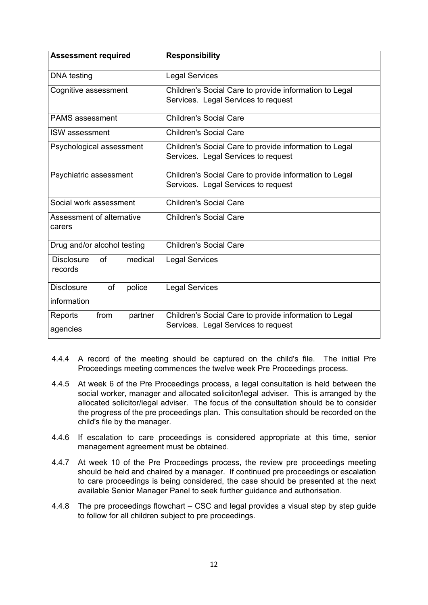| <b>Assessment required</b>                    | <b>Responsibility</b>                                                                         |  |
|-----------------------------------------------|-----------------------------------------------------------------------------------------------|--|
| DNA testing                                   | <b>Legal Services</b>                                                                         |  |
| Cognitive assessment                          | Children's Social Care to provide information to Legal<br>Services. Legal Services to request |  |
| <b>PAMS</b> assessment                        | <b>Children's Social Care</b>                                                                 |  |
| <b>ISW</b> assessment                         | <b>Children's Social Care</b>                                                                 |  |
| Psychological assessment                      | Children's Social Care to provide information to Legal<br>Services. Legal Services to request |  |
| Psychiatric assessment                        | Children's Social Care to provide information to Legal<br>Services. Legal Services to request |  |
| Social work assessment                        | Children's Social Care                                                                        |  |
| Assessment of alternative<br>carers           | <b>Children's Social Care</b>                                                                 |  |
| Drug and/or alcohol testing                   | <b>Children's Social Care</b>                                                                 |  |
| medical<br><b>Disclosure</b><br>of<br>records | <b>Legal Services</b>                                                                         |  |
| <b>Disclosure</b><br>of<br>police             | <b>Legal Services</b>                                                                         |  |
| information                                   |                                                                                               |  |
| Reports<br>from<br>partner                    | Children's Social Care to provide information to Legal<br>Services. Legal Services to request |  |
| agencies                                      |                                                                                               |  |

- 4.4.4 A record of the meeting should be captured on the child's file. The initial Pre Proceedings meeting commences the twelve week Pre Proceedings process.
- 4.4.5 At week 6 of the Pre Proceedings process, a legal consultation is held between the social worker, manager and allocated solicitor/legal adviser. This is arranged by the allocated solicitor/legal adviser. The focus of the consultation should be to consider the progress of the pre proceedings plan. This consultation should be recorded on the child's file by the manager.
- 4.4.6 If escalation to care proceedings is considered appropriate at this time, senior management agreement must be obtained.
- 4.4.7 At week 10 of the Pre Proceedings process, the review pre proceedings meeting should be held and chaired by a manager. If continued pre proceedings or escalation to care proceedings is being considered, the case should be presented at the next available Senior Manager Panel to seek further guidance and authorisation.
- 4.4.8 The pre proceedings flowchart CSC and legal provides a visual step by step guide to follow for all children subject to pre proceedings.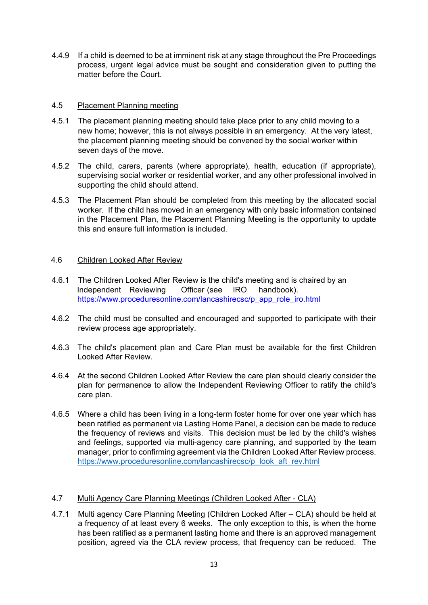4.4.9 If a child is deemed to be at imminent risk at any stage throughout the Pre Proceedings process, urgent legal advice must be sought and consideration given to putting the matter before the Court.

#### 4.5 Placement Planning meeting

- 4.5.1 The placement planning meeting should take place prior to any child moving to a new home; however, this is not always possible in an emergency. At the very latest, the placement planning meeting should be convened by the social worker within seven days of the move.
- 4.5.2 The child, carers, parents (where appropriate), health, education (if appropriate), supervising social worker or residential worker, and any other professional involved in supporting the child should attend.
- 4.5.3 The Placement Plan should be completed from this meeting by the allocated social worker. If the child has moved in an emergency with only basic information contained in the Placement Plan, the Placement Planning Meeting is the opportunity to update this and ensure full information is included.

#### 4.6 Children Looked After Review

- 4.6.1 The Children Looked After Review is the child's meeting and is chaired by an Independent Reviewing Officer (see IRO handbook). https://www.proceduresonline.com/lancashirecsc/p\_app\_role\_iro.html
- 4.6.2 The child must be consulted and encouraged and supported to participate with their review process age appropriately.
- 4.6.3 The child's placement plan and Care Plan must be available for the first Children Looked After Review.
- 4.6.4 At the second Children Looked After Review the care plan should clearly consider the plan for permanence to allow the Independent Reviewing Officer to ratify the child's care plan.
- 4.6.5 Where a child has been living in a long-term foster home for over one year which has been ratified as permanent via Lasting Home Panel, a decision can be made to reduce the frequency of reviews and visits. This decision must be led by the child's wishes and feelings, supported via multi-agency care planning, and supported by the team manager, prior to confirming agreement via the Children Looked After Review process. [https://www.proceduresonline.com/lancashirecsc/p\\_look\\_aft\\_rev.html](https://www.proceduresonline.com/lancashirecsc/p_look_aft_rev.html)

#### 4.7 Multi Agency Care Planning Meetings (Children Looked After - CLA)

4.7.1 Multi agency Care Planning Meeting (Children Looked After – CLA) should be held at a frequency of at least every 6 weeks. The only exception to this, is when the home has been ratified as a permanent lasting home and there is an approved management position, agreed via the CLA review process, that frequency can be reduced. The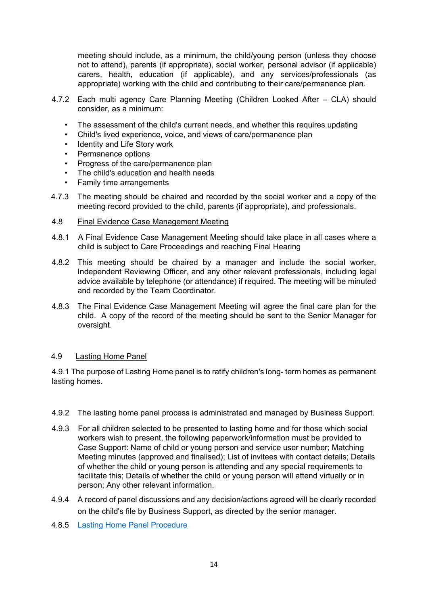meeting should include, as a minimum, the child/young person (unless they choose not to attend), parents (if appropriate), social worker, personal advisor (if applicable) carers, health, education (if applicable), and any services/professionals (as appropriate) working with the child and contributing to their care/permanence plan.

- 4.7.2 Each multi agency Care Planning Meeting (Children Looked After CLA) should consider, as a minimum:
	- The assessment of the child's current needs, and whether this requires updating
	- Child's lived experience, voice, and views of care/permanence plan
	- Identity and Life Story work
	- Permanence options
	- Progress of the care/permanence plan
	- The child's education and health needs
	- Family time arrangements
- 4.7.3 The meeting should be chaired and recorded by the social worker and a copy of the meeting record provided to the child, parents (if appropriate), and professionals.
- 4.8 Final Evidence Case Management Meeting
- 4.8.1 A Final Evidence Case Management Meeting should take place in all cases where a child is subject to Care Proceedings and reaching Final Hearing
- 4.8.2 This meeting should be chaired by a manager and include the social worker, Independent Reviewing Officer, and any other relevant professionals, including legal advice available by telephone (or attendance) if required. The meeting will be minuted and recorded by the Team Coordinator.
- 4.8.3 The Final Evidence Case Management Meeting will agree the final care plan for the child. A copy of the record of the meeting should be sent to the Senior Manager for oversight.

#### 4.9 Lasting Home Panel

4.9.1 The purpose of Lasting Home panel is to ratify children's long- term homes as permanent lasting homes.

- 4.9.2 The lasting home panel process is administrated and managed by Business Support.
- 4.9.3 For all children selected to be presented to lasting home and for those which social workers wish to present, the following paperwork/information must be provided to Case Support: Name of child or young person and service user number; Matching Meeting minutes (approved and finalised); List of invitees with contact details; Details of whether the child or young person is attending and any special requirements to facilitate this; Details of whether the child or young person will attend virtually or in person; Any other relevant information.
- 4.9.4 A record of panel discussions and any decision/actions agreed will be clearly recorded on the child's file by Business Support, as directed by the senior manager.
- 4.8.5 Lasting [Home Panel Procedure](https://www.proceduresonline.com/lancashirecsc/local_resources.html#lac)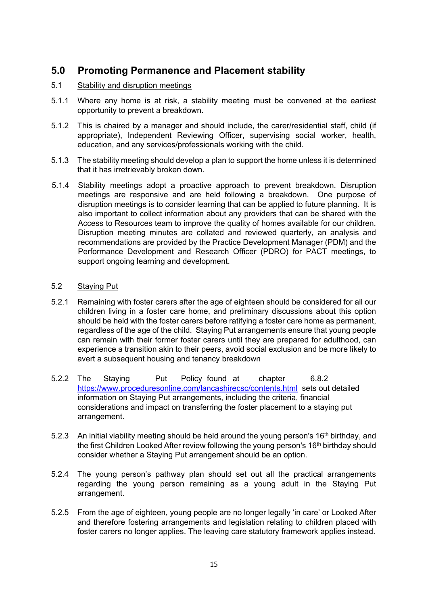#### **5.0 Promoting Permanence and Placement stability**

#### 5.1 Stability and disruption meetings

- 5.1.1 Where any home is at risk, a stability meeting must be convened at the earliest opportunity to prevent a breakdown.
- 5.1.2 This is chaired by a manager and should include, the carer/residential staff, child (if appropriate), Independent Reviewing Officer, supervising social worker, health, education, and any services/professionals working with the child.
- 5.1.3 The stability meeting should develop a plan to support the home unless it is determined that it has irretrievably broken down.
- 5.1.4 Stability meetings adopt a proactive approach to prevent breakdown. Disruption meetings are responsive and are held following a breakdown. One purpose of disruption meetings is to consider learning that can be applied to future planning. It is also important to collect information about any providers that can be shared with the Access to Resources team to improve the quality of homes available for our children. Disruption meeting minutes are collated and reviewed quarterly, an analysis and recommendations are provided by the Practice Development Manager (PDM) and the Performance Development and Research Officer (PDRO) for PACT meetings, to support ongoing learning and development.

#### 5.2 Staying Put

- 5.2.1 Remaining with foster carers after the age of eighteen should be considered for all our children living in a foster care home, and preliminary discussions about this option should be held with the foster carers before ratifying a foster care home as permanent, regardless of the age of the child. Staying Put arrangements ensure that young people can remain with their former foster carers until they are prepared for adulthood, can experience a transition akin to their peers, avoid social exclusion and be more likely to avert a subsequent housing and tenancy breakdown
- 5.2.2 The Staying Put Policy found at chapter 6.8.2 <https://www.proceduresonline.com/lancashirecsc/contents.html> sets out detailed information on Staying Put arrangements, including the criteria, financial considerations and impact on transferring the foster placement to a staying put arrangement.
- 5.2.3 An initial viability meeting should be held around the young person's  $16<sup>th</sup>$  birthday, and the first Children Looked After review following the young person's 16<sup>th</sup> birthday should consider whether a Staying Put arrangement should be an option.
- 5.2.4 The young person's pathway plan should set out all the practical arrangements regarding the young person remaining as a young adult in the Staying Put arrangement.
- 5.2.5 From the age of eighteen, young people are no longer legally 'in care' or Looked After and therefore fostering arrangements and legislation relating to children placed with foster carers no longer applies. The leaving care statutory framework applies instead.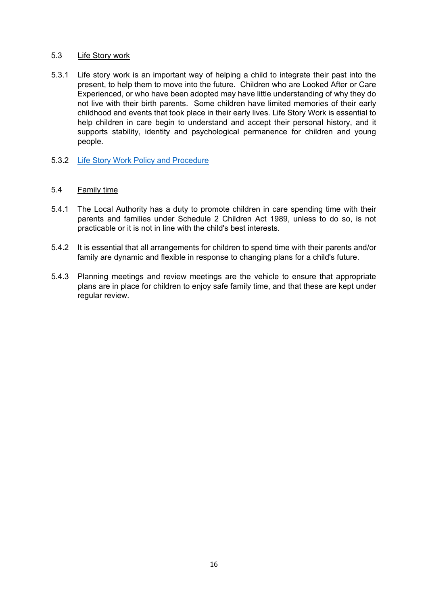#### 5.3 Life Story work

- 5.3.1 Life story work is an important way of helping a child to integrate their past into the present, to help them to move into the future. Children who are Looked After or Care Experienced, or who have been adopted may have little understanding of why they do not live with their birth parents. Some children have limited memories of their early childhood and events that took place in their early lives. Life Story Work is essential to help children in care begin to understand and accept their personal history, and it supports stability, identity and psychological permanence for children and young people.
- 5.3.2 [Life Story Work Policy and Procedure](https://www.proceduresonline.com/lancashirecsc/local_resources.html#lac)

#### 5.4 Family time

- 5.4.1 The Local Authority has a duty to promote children in care spending time with their parents and families under Schedule 2 Children Act 1989, unless to do so, is not practicable or it is not in line with the child's best interests.
- 5.4.2 It is essential that all arrangements for children to spend time with their parents and/or family are dynamic and flexible in response to changing plans for a child's future.
- 5.4.3 Planning meetings and review meetings are the vehicle to ensure that appropriate plans are in place for children to enjoy safe family time, and that these are kept under regular review.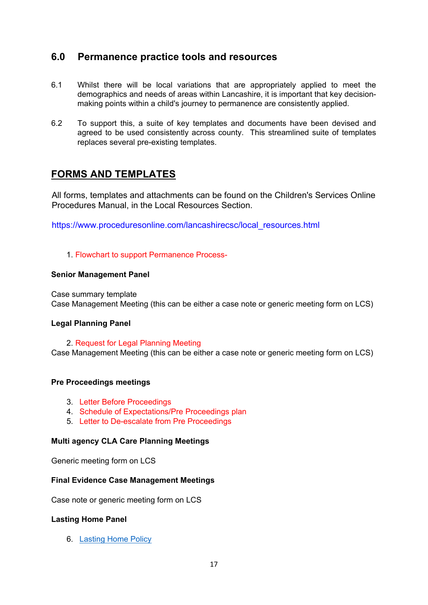#### **6.0 Permanence practice tools and resources**

- 6.1 Whilst there will be local variations that are appropriately applied to meet the demographics and needs of areas within Lancashire, it is important that key decisionmaking points within a child's journey to permanence are consistently applied.
- 6.2 To support this, a suite of key templates and documents have been devised and agreed to be used consistently across county. This streamlined suite of templates replaces several pre-existing templates.

#### **FORMS AND TEMPLATES**

All forms, templates and attachments can be found on the Children's Services Online Procedures Manual, in the Local Resources Section.

https://www.proceduresonline.com/lancashirecsc/local\_resources.html

#### 1. Flowchart to support Permanence Process-

#### **Senior Management Panel**

Case summary template Case Management Meeting (this can be either a case note or generic meeting form on LCS)

#### **Legal Planning Panel**

2. Request for Legal Planning Meeting Case Management Meeting (this can be either a case note or generic meeting form on LCS)

#### **Pre Proceedings meetings**

- 3. Letter Before Proceedings
- 4. Schedule of Expectations/Pre Proceedings plan
- 5. Letter to De-escalate from Pre Proceedings

#### **Multi agency CLA Care Planning Meetings**

Generic meeting form on LCS

#### **Final Evidence Case Management Meetings**

Case note or generic meeting form on LCS

#### **Lasting Home Panel**

6. Lasting Home Policy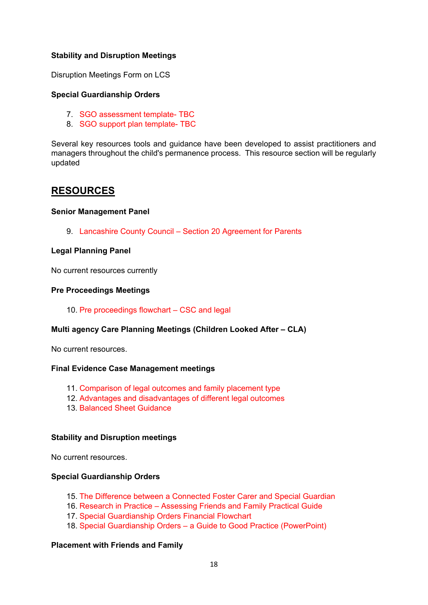#### **Stability and Disruption Meetings**

Disruption Meetings Form on LCS

#### **Special Guardianship Orders**

- 7. SGO assessment template- TBC
- 8. SGO support plan template- TBC

Several key resources tools and guidance have been developed to assist practitioners and managers throughout the child's permanence process. This resource section will be regularly updated

#### **RESOURCES**

#### **Senior Management Panel**

9. Lancashire County Council – Section 20 Agreement for Parents

#### **Legal Planning Panel**

No current resources currently

#### **Pre Proceedings Meetings**

10. Pre proceedings flowchart – CSC and legal

#### **Multi agency Care Planning Meetings (Children Looked After – CLA)**

No current resources.

#### **Final Evidence Case Management meetings**

- 11. Comparison of legal outcomes and family placement type
- 12. Advantages and disadvantages of different legal outcomes
- 13. Balanced Sheet Guidance

#### **Stability and Disruption meetings**

No current resources.

#### **Special Guardianship Orders**

- 15. The Difference between a Connected Foster Carer and Special Guardian
- 16. Research in Practice Assessing Friends and Family Practical Guide
- 17. Special Guardianship Orders Financial Flowchart
- 18. Special Guardianship Orders a Guide to Good Practice (PowerPoint)

#### **Placement with Friends and Family**